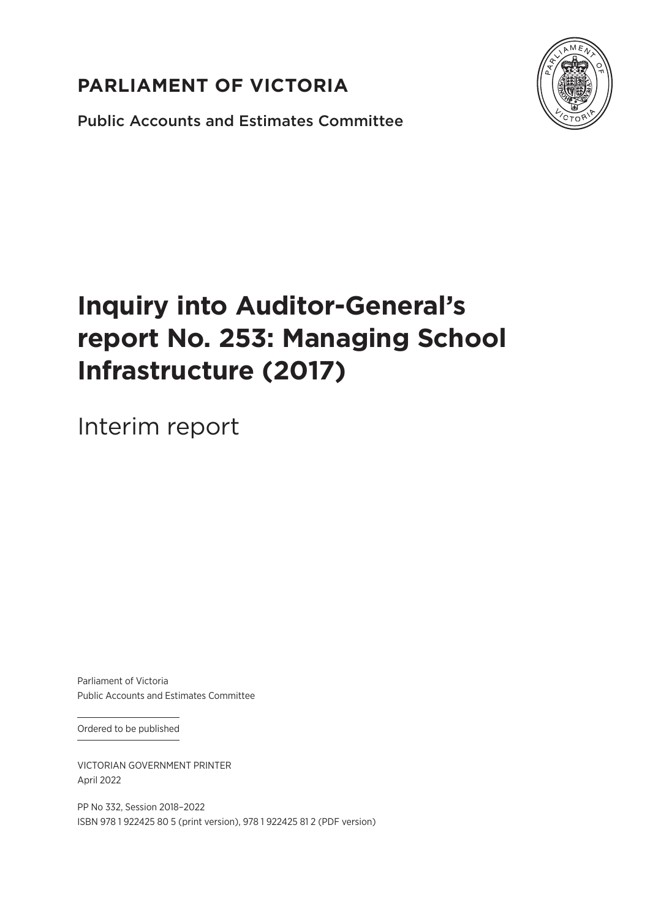### **PARLIAMENT OF VICTORIA**



Public Accounts and Estimates Committee

# **Inquiry into Auditor-General's report No. 253: Managing School Infrastructure (2017)**

Interim report

Parliament of Victoria Public Accounts and Estimates Committee

Ordered to be published

VICTORIAN GOVERNMENT PRINTER April 2022

PP No 332, Session 2018–2022 ISBN 978 1 922425 80 5 (print version), 978 1 922425 81 2 (PDF version)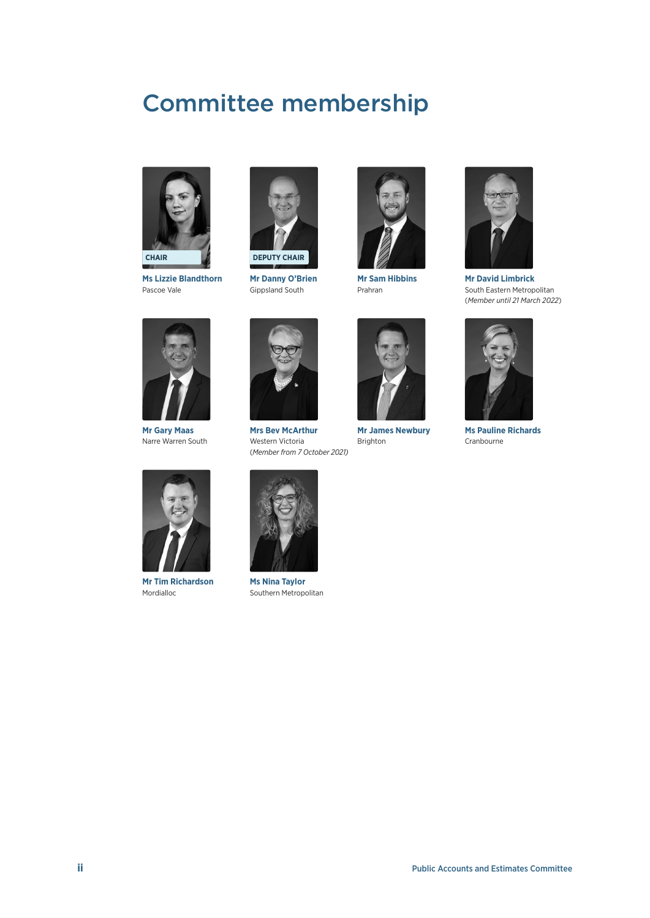# <span id="page-1-0"></span>Committee membership



**Ms Lizzie Blandthorn** Pascoe Vale



**Mr Danny O'Brien** Gippsland South



**Mr Sam Hibbins** Prahran



**Mr David Limbrick** South Eastern Metropolitan (*Member until 21 March 2022*)



**Mr Gary Maas** Narre Warren South



**Mr Tim Richardson** Mordialloc



**Mrs Bev McArthur** Western Victoria (*Member from 7 October 2021)*

**Ms Nina Taylor** Southern Metropolitan



**Mr James Newbury** Brighton



**Ms Pauline Richards** Cranbourne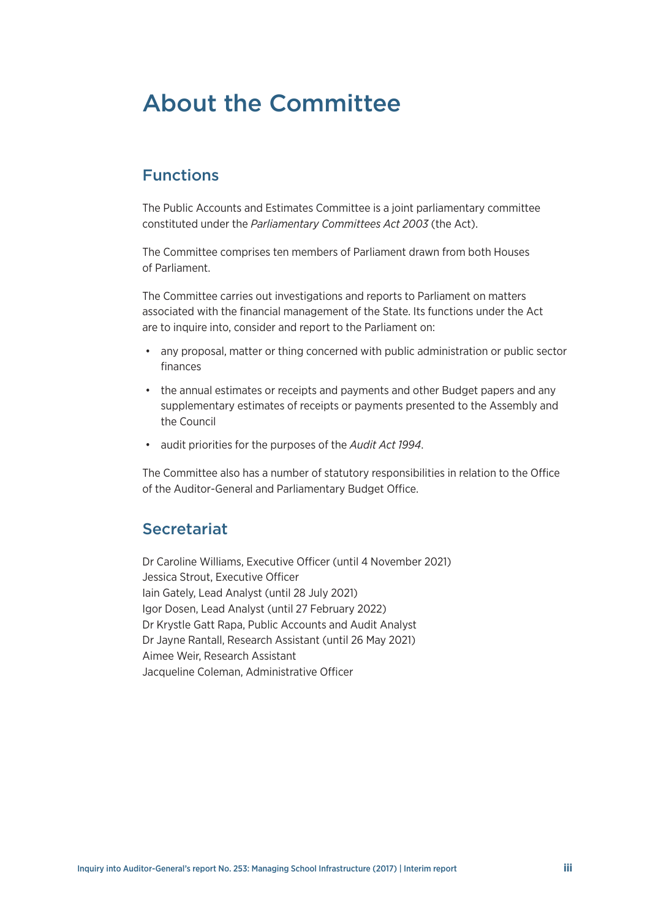## <span id="page-2-0"></span>About the Committee

#### **Functions**

The Public Accounts and Estimates Committee is a joint parliamentary committee constituted under the *Parliamentary Committees Act 2003* (the Act).

The Committee comprises ten members of Parliament drawn from both Houses of Parliament.

The Committee carries out investigations and reports to Parliament on matters associated with the financial management of the State. Its functions under the Act are to inquire into, consider and report to the Parliament on:

- any proposal, matter or thing concerned with public administration or public sector finances
- the annual estimates or receipts and payments and other Budget papers and any supplementary estimates of receipts or payments presented to the Assembly and the Council
- audit priorities for the purposes of the *Audit Act 1994*.

The Committee also has a number of statutory responsibilities in relation to the Office of the Auditor‑General and Parliamentary Budget Office.

#### **Secretariat**

Dr Caroline Williams, Executive Officer (until 4 November 2021) Jessica Strout, Executive Officer Iain Gately, Lead Analyst (until 28 July 2021) Igor Dosen, Lead Analyst (until 27 February 2022) Dr Krystle Gatt Rapa, Public Accounts and Audit Analyst Dr Jayne Rantall, Research Assistant (until 26 May 2021) Aimee Weir, Research Assistant Jacqueline Coleman, Administrative Officer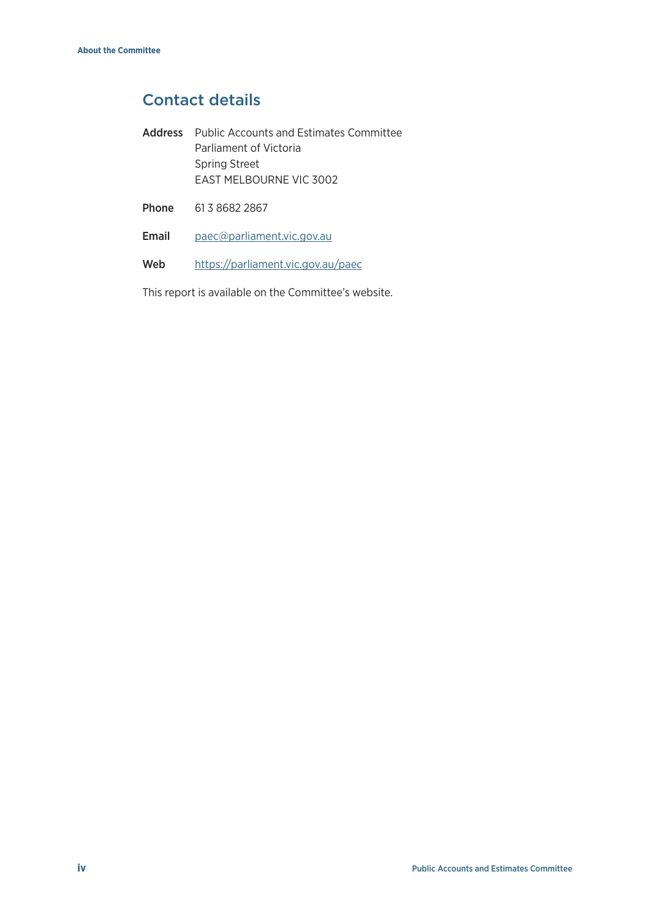### Contact details

- Address Public Accounts and Estimates Committee Parliament of Victoria Spring Street EAST MELBOURNE VIC 3002
- Phone 61 3 8682 2867
- Email [paec@parliament.vic.gov.au](mailto:paec@parliament.vic.gov.au)
- Web <https://parliament.vic.gov.au/paec>

This report is available on the Committee's website.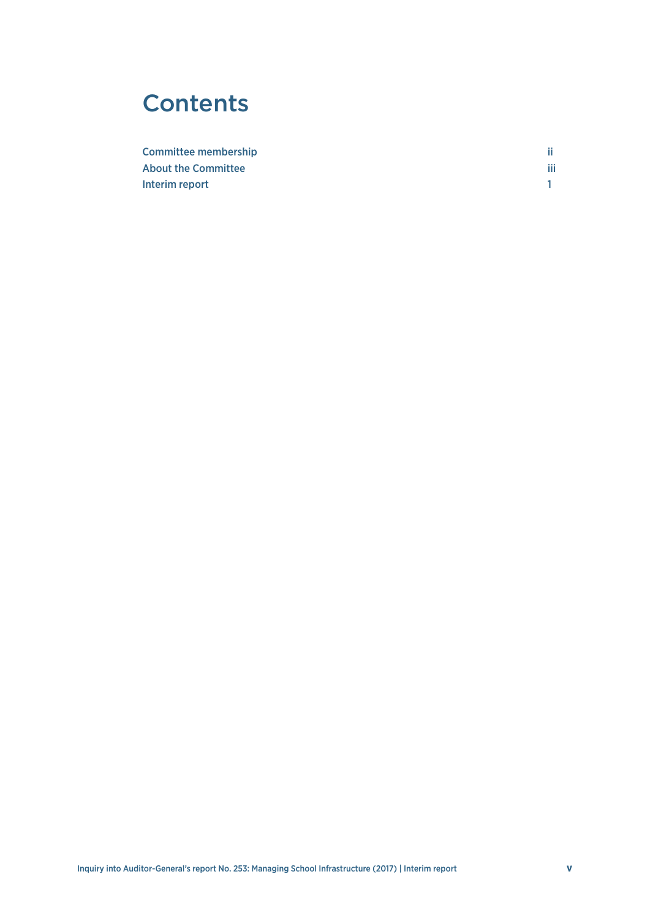### **Contents**

| <b>Committee membership</b> |    |
|-----------------------------|----|
| <b>About the Committee</b>  | Шi |
| Interim report              |    |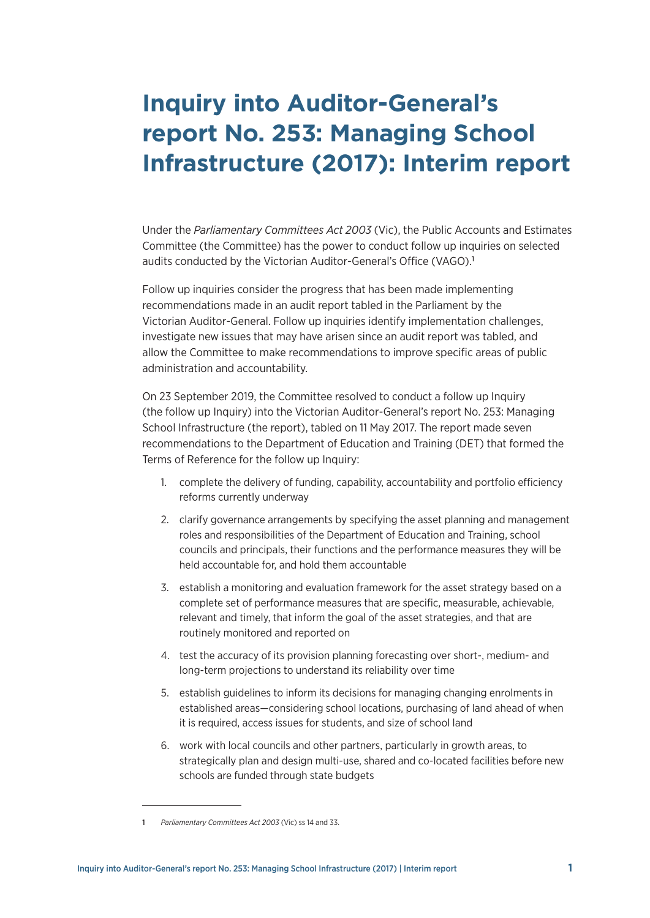# <span id="page-6-0"></span>**Inquiry into Auditor-General's report No. 253: Managing School Infrastructure (2017): Interim report**

Under the *Parliamentary Committees Act 2003* (Vic), the Public Accounts and Estimates Committee (the Committee) has the power to conduct follow up inquiries on selected audits conducted by the Victorian Auditor-General's Office (VAGO).<sup>1</sup>

Follow up inquiries consider the progress that has been made implementing recommendations made in an audit report tabled in the Parliament by the Victorian Auditor‑General. Follow up inquiries identify implementation challenges, investigate new issues that may have arisen since an audit report was tabled, and allow the Committee to make recommendations to improve specific areas of public administration and accountability.

On 23 September 2019, the Committee resolved to conduct a follow up Inquiry (the follow up Inquiry) into the Victorian Auditor‑General's report No. 253: Managing School Infrastructure (the report), tabled on 11 May 2017. The report made seven recommendations to the Department of Education and Training (DET) that formed the Terms of Reference for the follow up Inquiry:

- 1. complete the delivery of funding, capability, accountability and portfolio efficiency reforms currently underway
- 2. clarify governance arrangements by specifying the asset planning and management roles and responsibilities of the Department of Education and Training, school councils and principals, their functions and the performance measures they will be held accountable for, and hold them accountable
- 3. establish a monitoring and evaluation framework for the asset strategy based on a complete set of performance measures that are specific, measurable, achievable, relevant and timely, that inform the goal of the asset strategies, and that are routinely monitored and reported on
- 4. test the accuracy of its provision planning forecasting over short-, medium- and long-term projections to understand its reliability over time
- 5. establish guidelines to inform its decisions for managing changing enrolments in established areas—considering school locations, purchasing of land ahead of when it is required, access issues for students, and size of school land
- 6. work with local councils and other partners, particularly in growth areas, to strategically plan and design multi-use, shared and co-located facilities before new schools are funded through state budgets

<sup>1</sup> *Parliamentary Committees Act 2003* (Vic) ss 14 and 33.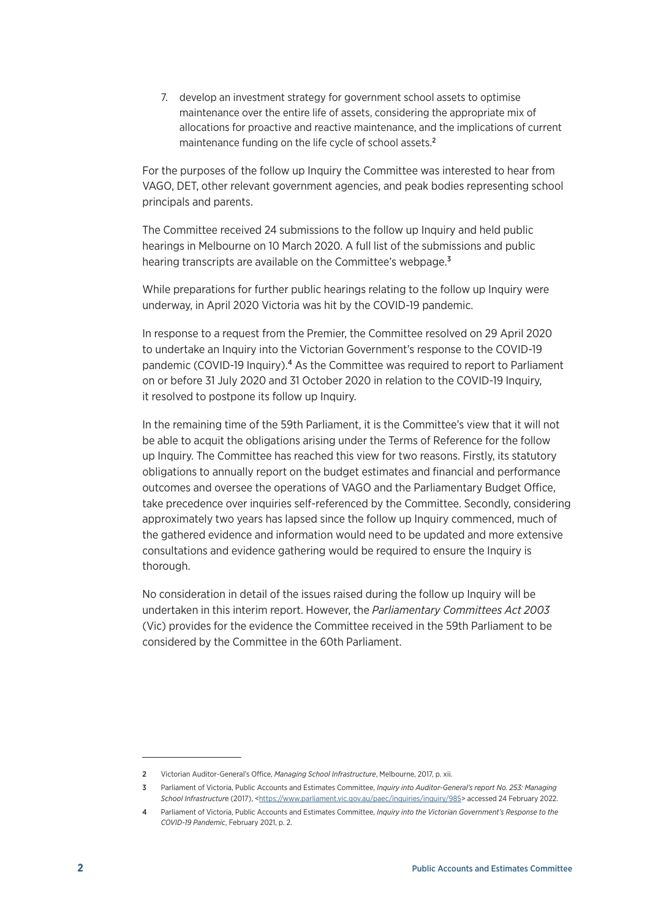7. develop an investment strategy for government school assets to optimise maintenance over the entire life of assets, considering the appropriate mix of allocations for proactive and reactive maintenance, and the implications of current maintenance funding on the life cycle of school assets.<sup>2</sup>

For the purposes of the follow up Inquiry the Committee was interested to hear from VAGO, DET, other relevant government agencies, and peak bodies representing school principals and parents.

The Committee received 24 submissions to the follow up Inquiry and held public hearings in Melbourne on 10 March 2020. A full list of the submissions and public hearing transcripts are available on the Committee's webpage.<sup>3</sup>

While preparations for further public hearings relating to the follow up Inquiry were underway, in April 2020 Victoria was hit by the COVID‑19 pandemic.

In response to a request from the Premier, the Committee resolved on 29 April 2020 to undertake an Inquiry into the Victorian Government's response to the COVID-19 pandemic (COVID-19 Inquiry).<sup>4</sup> As the Committee was required to report to Parliament on or before 31 July 2020 and 31 October 2020 in relation to the COVID-19 Inquiry, it resolved to postpone its follow up Inquiry.

In the remaining time of the 59th Parliament, it is the Committee's view that it will not be able to acquit the obligations arising under the Terms of Reference for the follow up Inquiry. The Committee has reached this view for two reasons. Firstly, its statutory obligations to annually report on the budget estimates and financial and performance outcomes and oversee the operations of VAGO and the Parliamentary Budget Office, take precedence over inquiries self-referenced by the Committee. Secondly, considering approximately two years has lapsed since the follow up Inquiry commenced, much of the gathered evidence and information would need to be updated and more extensive consultations and evidence gathering would be required to ensure the Inquiry is thorough.

No consideration in detail of the issues raised during the follow up Inquiry will be undertaken in this interim report. However, the *Parliamentary Committees Act 2003*  (Vic) provides for the evidence the Committee received in the 59th Parliament to be considered by the Committee in the 60th Parliament.

<sup>2</sup> Victorian Auditor‑General's Office, *Managing School Infrastructure*, Melbourne, 2017, p. xii.

<sup>3</sup> Parliament of Victoria, Public Accounts and Estimates Committee, *Inquiry into Auditor‑General's report No. 253: Managing School Infrastructur*e (2017), [<https://www.parliament.vic.gov.au/paec/inquiries/inquiry/985>](https://www.parliament.vic.gov.au/paec/inquiries/inquiry/985) accessed 24 February 2022.

<sup>4</sup> Parliament of Victoria, Public Accounts and Estimates Committee, *Inquiry into the Victorian Government's Response to the COVID‑19 Pandemic*, February 2021, p. 2.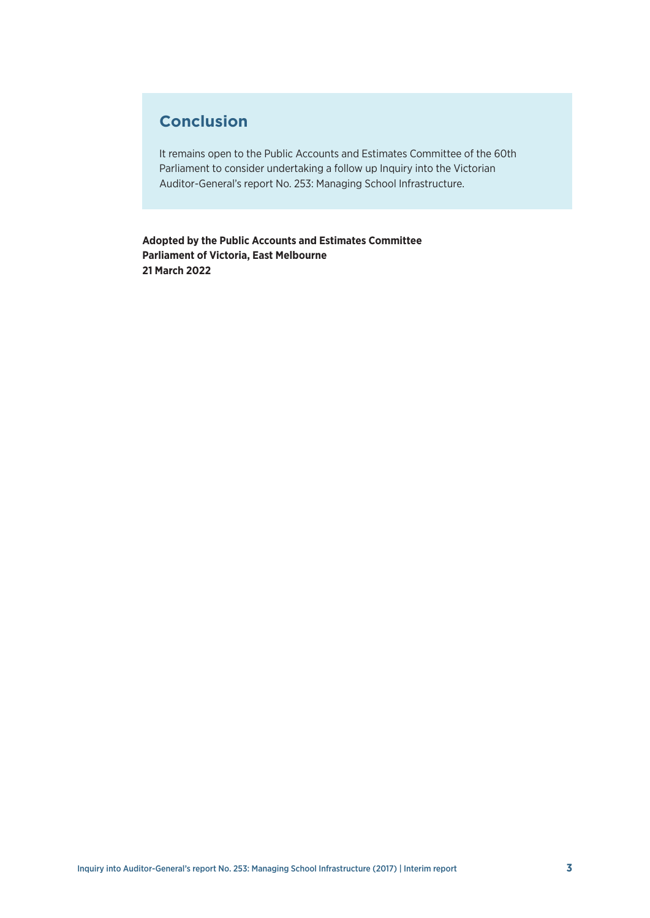### **Conclusion**

It remains open to the Public Accounts and Estimates Committee of the 60th Parliament to consider undertaking a follow up Inquiry into the Victorian Auditor‑General's report No. 253: Managing School Infrastructure.

**Adopted by the Public Accounts and Estimates Committee Parliament of Victoria, East Melbourne 21 March 2022**